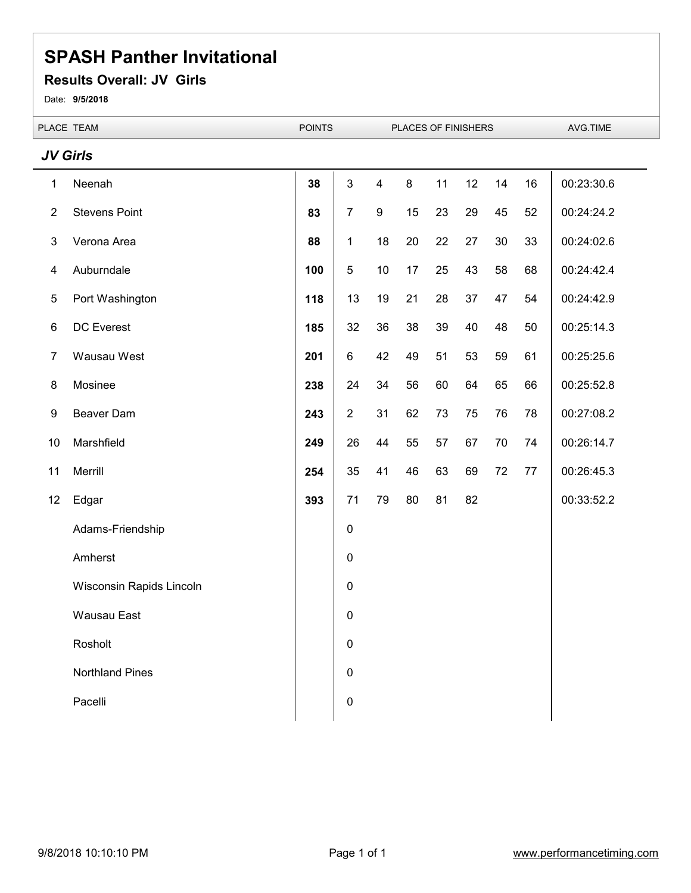#### **Results Overall: JV Girls**

Date: **9/5/2018**

L.

|                 | PLACE TEAM               | <b>POINTS</b> |                |                         | PLACES OF FINISHERS |    |    |    |    | AVG.TIME   |  |
|-----------------|--------------------------|---------------|----------------|-------------------------|---------------------|----|----|----|----|------------|--|
| <b>JV Girls</b> |                          |               |                |                         |                     |    |    |    |    |            |  |
| 1               | Neenah                   | 38            | $\sqrt{3}$     | $\overline{\mathbf{4}}$ | $\bf 8$             | 11 | 12 | 14 | 16 | 00:23:30.6 |  |
| $\overline{2}$  | <b>Stevens Point</b>     | 83            | $\overline{7}$ | $\boldsymbol{9}$        | 15                  | 23 | 29 | 45 | 52 | 00:24:24.2 |  |
| $\sqrt{3}$      | Verona Area              | 88            | $\mathbf{1}$   | 18                      | 20                  | 22 | 27 | 30 | 33 | 00:24:02.6 |  |
| 4               | Auburndale               | 100           | $\sqrt{5}$     | 10                      | 17                  | 25 | 43 | 58 | 68 | 00:24:42.4 |  |
| 5               | Port Washington          | 118           | 13             | 19                      | 21                  | 28 | 37 | 47 | 54 | 00:24:42.9 |  |
| $6\phantom{1}$  | DC Everest               | 185           | 32             | 36                      | 38                  | 39 | 40 | 48 | 50 | 00:25:14.3 |  |
| $\overline{7}$  | Wausau West              | 201           | $\,6$          | 42                      | 49                  | 51 | 53 | 59 | 61 | 00:25:25.6 |  |
| 8               | Mosinee                  | 238           | 24             | 34                      | 56                  | 60 | 64 | 65 | 66 | 00:25:52.8 |  |
| 9               | Beaver Dam               | 243           | $\overline{2}$ | 31                      | 62                  | 73 | 75 | 76 | 78 | 00:27:08.2 |  |
| 10              | Marshfield               | 249           | 26             | 44                      | 55                  | 57 | 67 | 70 | 74 | 00:26:14.7 |  |
| 11              | Merrill                  | 254           | 35             | 41                      | 46                  | 63 | 69 | 72 | 77 | 00:26:45.3 |  |
| 12              | Edgar                    | 393           | 71             | 79                      | 80                  | 81 | 82 |    |    | 00:33:52.2 |  |
|                 | Adams-Friendship         |               | $\pmb{0}$      |                         |                     |    |    |    |    |            |  |
|                 | Amherst                  |               | 0              |                         |                     |    |    |    |    |            |  |
|                 | Wisconsin Rapids Lincoln |               | 0              |                         |                     |    |    |    |    |            |  |
|                 | <b>Wausau East</b>       |               | 0              |                         |                     |    |    |    |    |            |  |
|                 | Rosholt                  |               | 0              |                         |                     |    |    |    |    |            |  |
|                 | <b>Northland Pines</b>   |               | 0              |                         |                     |    |    |    |    |            |  |
|                 | Pacelli                  |               | $\pmb{0}$      |                         |                     |    |    |    |    |            |  |
|                 |                          |               |                |                         |                     |    |    |    |    |            |  |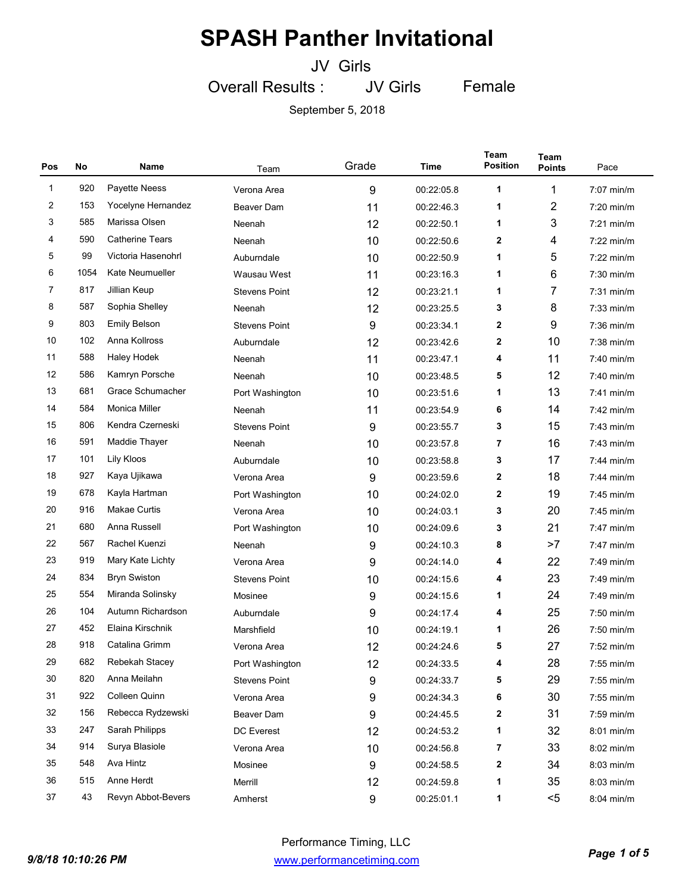JV Girls

Overall Results : JV Girls Female

| Pos          | No   | Name                   | Team                 | Grade | Time       | Team<br><b>Position</b> | Team<br><b>Points</b> | Pace         |
|--------------|------|------------------------|----------------------|-------|------------|-------------------------|-----------------------|--------------|
| $\mathbf{1}$ | 920  | Payette Neess          | Verona Area          | 9     | 00:22:05.8 | 1                       | 1                     | 7:07 min/m   |
| 2            | 153  | Yocelyne Hernandez     | Beaver Dam           | 11    | 00:22:46.3 | 1                       | $\overline{2}$        | $7:20$ min/m |
| 3            | 585  | Marissa Olsen          | Neenah               | 12    | 00:22:50.1 | 1                       | 3                     | $7:21$ min/m |
| 4            | 590  | <b>Catherine Tears</b> | Neenah               | 10    | 00:22:50.6 | 2                       | 4                     | $7:22$ min/m |
| 5            | 99   | Victoria Hasenohrl     | Auburndale           | 10    | 00:22:50.9 | 1                       | 5                     | $7:22$ min/m |
| 6            | 1054 | Kate Neumueller        | Wausau West          | 11    | 00:23:16.3 | 1                       | 6                     | $7:30$ min/m |
| 7            | 817  | Jillian Keup           | <b>Stevens Point</b> | 12    | 00:23:21.1 | 1                       | 7                     | $7:31$ min/m |
| 8            | 587  | Sophia Shelley         | Neenah               | 12    | 00:23:25.5 | 3                       | 8                     | $7:33$ min/m |
| 9            | 803  | <b>Emily Belson</b>    | <b>Stevens Point</b> | 9     | 00:23:34.1 | 2                       | 9                     | 7:36 min/m   |
| 10           | 102  | Anna Kollross          | Auburndale           | 12    | 00:23:42.6 | 2                       | 10                    | $7:38$ min/m |
| 11           | 588  | Haley Hodek            | Neenah               | 11    | 00:23:47.1 | 4                       | 11                    | 7:40 min/m   |
| 12           | 586  | Kamryn Porsche         | Neenah               | 10    | 00:23:48.5 | 5                       | 12                    | 7:40 min/m   |
| 13           | 681  | Grace Schumacher       | Port Washington      | 10    | 00:23:51.6 | 1                       | 13                    | $7:41$ min/m |
| 14           | 584  | <b>Monica Miller</b>   | Neenah               | 11    | 00:23:54.9 | 6                       | 14                    | $7:42$ min/m |
| 15           | 806  | Kendra Czerneski       | <b>Stevens Point</b> | 9     | 00:23:55.7 | 3                       | 15                    | $7:43$ min/m |
| 16           | 591  | Maddie Thayer          | Neenah               | 10    | 00:23:57.8 | 7                       | 16                    | 7:43 min/m   |
| 17           | 101  | Lily Kloos             | Auburndale           | 10    | 00:23:58.8 | 3                       | 17                    | $7:44$ min/m |
| 18           | 927  | Kaya Ujikawa           | Verona Area          | 9     | 00:23:59.6 | 2                       | 18                    | $7:44$ min/m |
| 19           | 678  | Kayla Hartman          | Port Washington      | 10    | 00:24:02.0 | 2                       | 19                    | $7:45$ min/m |
| 20           | 916  | <b>Makae Curtis</b>    | Verona Area          | 10    | 00:24:03.1 | 3                       | 20                    | $7:45$ min/m |
| 21           | 680  | Anna Russell           | Port Washington      | 10    | 00:24:09.6 | 3                       | 21                    | $7:47$ min/m |
| 22           | 567  | Rachel Kuenzi          | Neenah               | 9     | 00:24:10.3 | 8                       | >7                    | $7:47$ min/m |
| 23           | 919  | Mary Kate Lichty       | Verona Area          | 9     | 00:24:14.0 | 4                       | 22                    | $7:49$ min/m |
| 24           | 834  | <b>Bryn Swiston</b>    | <b>Stevens Point</b> | 10    | 00:24:15.6 | 4                       | 23                    | 7:49 min/m   |
| 25           | 554  | Miranda Solinsky       | Mosinee              | 9     | 00:24:15.6 | 1                       | 24                    | 7:49 min/m   |
| 26           | 104  | Autumn Richardson      | Auburndale           | 9     | 00:24:17.4 | 4                       | 25                    | 7:50 min/m   |
| 27           | 452  | Elaina Kirschnik       | Marshfield           | 10    | 00:24:19.1 | 1                       | 26                    | 7:50 min/m   |
| 28           | 918  | Catalina Grimm         | Verona Area          | 12    | 00:24:24.6 | 5                       | 27                    | 7:52 min/m   |
| 29           | 682  | Rebekah Stacey         | Port Washington      | 12    | 00:24:33.5 | 4                       | 28                    | 7:55 min/m   |
| 30           | 820  | Anna Meilahn           | <b>Stevens Point</b> | 9     | 00:24:33.7 | 5                       | 29                    | 7:55 min/m   |
| 31           | 922  | Colleen Quinn          | Verona Area          | 9     | 00:24:34.3 | 6                       | 30                    | 7:55 min/m   |
| 32           | 156  | Rebecca Rydzewski      | Beaver Dam           | 9     | 00:24:45.5 | 2                       | 31                    | 7:59 min/m   |
| 33           | 247  | Sarah Philipps         | DC Everest           | 12    | 00:24:53.2 | 1                       | 32                    | 8:01 min/m   |
| 34           | 914  | Surya Blasiole         | Verona Area          | 10    | 00:24:56.8 | 7                       | 33                    | 8:02 min/m   |
| 35           | 548  | Ava Hintz              | Mosinee              | 9     | 00:24:58.5 | 2                       | 34                    | 8:03 min/m   |
| 36           | 515  | Anne Herdt             | Merrill              | 12    | 00:24:59.8 | 1                       | 35                    | 8:03 min/m   |
| 37           | 43   | Revyn Abbot-Bevers     | Amherst              | 9     | 00:25:01.1 | 1                       | $5$                   | 8:04 min/m   |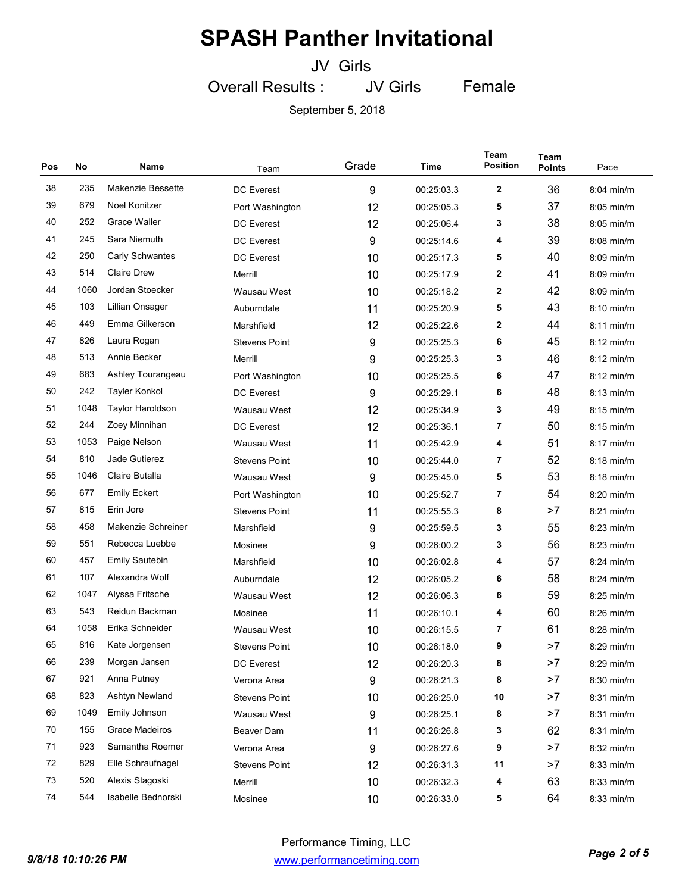JV Girls

Overall Results : JV Girls Female

| Pos | No   | Name                     | Team                 | Grade | Time       | Team<br><b>Position</b> | Team<br><b>Points</b> | Pace         |
|-----|------|--------------------------|----------------------|-------|------------|-------------------------|-----------------------|--------------|
| 38  | 235  | <b>Makenzie Bessette</b> | <b>DC</b> Everest    | 9     | 00:25:03.3 | 2                       | 36                    | 8:04 min/m   |
| 39  | 679  | Noel Konitzer            | Port Washington      | 12    | 00:25:05.3 | 5                       | 37                    | $8:05$ min/m |
| 40  | 252  | Grace Waller             | <b>DC Everest</b>    | 12    | 00:25:06.4 | 3                       | 38                    | $8:05$ min/m |
| 41  | 245  | Sara Niemuth             | <b>DC</b> Everest    | 9     | 00:25:14.6 | 4                       | 39                    | $8:08$ min/m |
| 42  | 250  | <b>Carly Schwantes</b>   | <b>DC</b> Everest    | 10    | 00:25:17.3 | 5                       | 40                    | $8:09$ min/m |
| 43  | 514  | <b>Claire Drew</b>       | Merrill              | 10    | 00:25:17.9 | 2                       | 41                    | $8:09$ min/m |
| 44  | 1060 | Jordan Stoecker          | Wausau West          | 10    | 00:25:18.2 | 2                       | 42                    | $8:09$ min/m |
| 45  | 103  | Lillian Onsager          | Auburndale           | 11    | 00:25:20.9 | 5                       | 43                    | $8:10$ min/m |
| 46  | 449  | Emma Gilkerson           | Marshfield           | 12    | 00:25:22.6 | 2                       | 44                    | 8:11 min/m   |
| 47  | 826  | Laura Rogan              | <b>Stevens Point</b> | 9     | 00:25:25.3 | 6                       | 45                    | $8:12$ min/m |
| 48  | 513  | Annie Becker             | Merrill              | 9     | 00:25:25.3 | 3                       | 46                    | $8:12$ min/m |
| 49  | 683  | Ashley Tourangeau        | Port Washington      | 10    | 00:25:25.5 | 6                       | 47                    | $8:12$ min/m |
| 50  | 242  | <b>Tayler Konkol</b>     | <b>DC</b> Everest    | 9     | 00:25:29.1 | 6                       | 48                    | 8:13 min/m   |
| 51  | 1048 | <b>Taylor Haroldson</b>  | Wausau West          | 12    | 00:25:34.9 | 3                       | 49                    | $8:15$ min/m |
| 52  | 244  | Zoey Minnihan            | <b>DC</b> Everest    | 12    | 00:25:36.1 | 7                       | 50                    | $8:15$ min/m |
| 53  | 1053 | Paige Nelson             | Wausau West          | 11    | 00:25:42.9 | 4                       | 51                    | $8:17$ min/m |
| 54  | 810  | Jade Gutierez            | <b>Stevens Point</b> | 10    | 00:25:44.0 | 7                       | 52                    | 8:18 min/m   |
| 55  | 1046 | Claire Butalla           | Wausau West          | 9     | 00:25:45.0 | 5                       | 53                    | $8:18$ min/m |
| 56  | 677  | <b>Emily Eckert</b>      | Port Washington      | 10    | 00:25:52.7 | 7                       | 54                    | $8:20$ min/m |
| 57  | 815  | Erin Jore                | <b>Stevens Point</b> | 11    | 00:25:55.3 | 8                       | >7                    | $8:21$ min/m |
| 58  | 458  | Makenzie Schreiner       | Marshfield           | 9     | 00:25:59.5 | 3                       | 55                    | $8:23$ min/m |
| 59  | 551  | Rebecca Luebbe           | Mosinee              | 9     | 00:26:00.2 | 3                       | 56                    | $8:23$ min/m |
| 60  | 457  | <b>Emily Sautebin</b>    | Marshfield           | 10    | 00:26:02.8 | 4                       | 57                    | $8:24$ min/m |
| 61  | 107  | Alexandra Wolf           | Auburndale           | 12    | 00:26:05.2 | 6                       | 58                    | $8:24$ min/m |
| 62  | 1047 | Alyssa Fritsche          | Wausau West          | 12    | 00:26:06.3 | 6                       | 59                    | $8:25$ min/m |
| 63  | 543  | Reidun Backman           | Mosinee              | 11    | 00:26:10.1 | 4                       | 60                    | $8:26$ min/m |
| 64  | 1058 | Erika Schneider          | Wausau West          | 10    | 00:26:15.5 | 7                       | 61                    | 8:28 min/m   |
| 65  | 816  | Kate Jorgensen           | <b>Stevens Point</b> | 10    | 00:26:18.0 | 9                       | >7                    | 8:29 min/m   |
| 66  | 239  | Morgan Jansen            | DC Everest           | 12    | 00:26:20.3 | 8                       | >7                    | 8:29 min/m   |
| 67  | 921  | Anna Putney              | Verona Area          | 9     | 00:26:21.3 | 8                       | >7                    | 8:30 min/m   |
| 68  | 823  | Ashtyn Newland           | <b>Stevens Point</b> | 10    | 00:26:25.0 | 10                      | >7                    | 8:31 min/m   |
| 69  | 1049 | Emily Johnson            | Wausau West          | 9     | 00:26:25.1 | 8                       | >7                    | 8:31 min/m   |
| 70  | 155  | Grace Madeiros           | Beaver Dam           | 11    | 00:26:26.8 | 3                       | 62                    | 8:31 min/m   |
| 71  | 923  | Samantha Roemer          | Verona Area          | 9     | 00:26:27.6 | 9                       | >7                    | 8:32 min/m   |
| 72  | 829  | Elle Schraufnagel        | <b>Stevens Point</b> | 12    | 00:26:31.3 | 11                      | >7                    | 8:33 min/m   |
| 73  | 520  | Alexis Slagoski          | Merrill              | 10    | 00:26:32.3 | 4                       | 63                    | 8:33 min/m   |
| 74  | 544  | Isabelle Bednorski       | Mosinee              | 10    | 00:26:33.0 | 5                       | 64                    | 8:33 min/m   |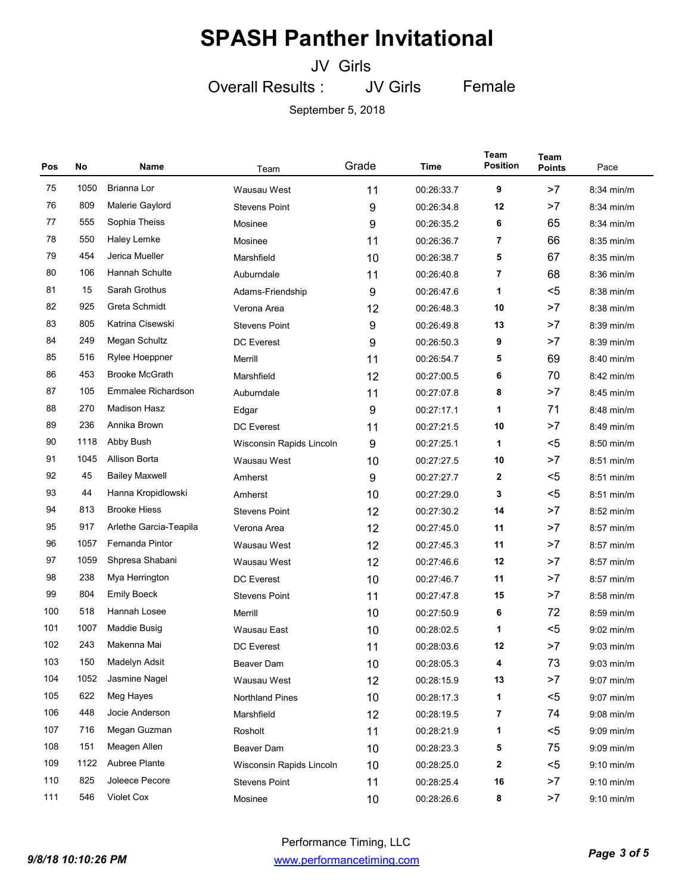JV Girls

Overall Results : JV Girls Female

| Pos | No   | Name                   | Team                     | Grade | Time       | <b>Team</b><br><b>Position</b> | Team<br><b>Points</b> | Pace         |
|-----|------|------------------------|--------------------------|-------|------------|--------------------------------|-----------------------|--------------|
| 75  | 1050 | Brianna Lor            | Wausau West              | 11    | 00:26:33.7 | 9                              | >7                    | 8:34 min/m   |
| 76  | 809  | Malerie Gaylord        | <b>Stevens Point</b>     | 9     | 00:26:34.8 | 12                             | >7                    | $8:34$ min/m |
| 77  | 555  | Sophia Theiss          | Mosinee                  | 9     | 00:26:35.2 | 6                              | 65                    | 8:34 min/m   |
| 78  | 550  | Haley Lemke            | Mosinee                  | 11    | 00:26:36.7 | 7                              | 66                    | $8:35$ min/m |
| 79  | 454  | Jerica Mueller         | Marshfield               | 10    | 00:26:38.7 | 5                              | 67                    | $8:35$ min/m |
| 80  | 106  | Hannah Schulte         | Auburndale               | 11    | 00:26:40.8 | 7                              | 68                    | $8:36$ min/m |
| 81  | 15   | Sarah Grothus          | Adams-Friendship         | 9     | 00:26:47.6 | 1                              | $5$                   | 8:38 min/m   |
| 82  | 925  | Greta Schmidt          | Verona Area              | 12    | 00:26:48.3 | 10                             | >7                    | $8:38$ min/m |
| 83  | 805  | Katrina Cisewski       | <b>Stevens Point</b>     | 9     | 00:26:49.8 | 13                             | >7                    | 8:39 min/m   |
| 84  | 249  | Megan Schultz          | <b>DC</b> Everest        | 9     | 00:26:50.3 | 9                              | >7                    | 8:39 min/m   |
| 85  | 516  | Rylee Hoeppner         | Merrill                  | 11    | 00:26:54.7 | 5                              | 69                    | $8:40$ min/m |
| 86  | 453  | <b>Brooke McGrath</b>  | Marshfield               | 12    | 00:27:00.5 | 6                              | 70                    | 8:42 min/m   |
| 87  | 105  | Emmalee Richardson     | Auburndale               | 11    | 00:27:07.8 | 8                              | >7                    | 8:45 min/m   |
| 88  | 270  | Madison Hasz           | Edgar                    | 9     | 00:27:17.1 | 1                              | 71                    | $8:48$ min/m |
| 89  | 236  | Annika Brown           | <b>DC</b> Everest        | 11    | 00:27:21.5 | 10                             | >7                    | $8:49$ min/m |
| 90  | 1118 | Abby Bush              | Wisconsin Rapids Lincoln | 9     | 00:27:25.1 | 1                              | $5$                   | 8:50 min/m   |
| 91  | 1045 | Allison Borta          | Wausau West              | 10    | 00:27:27.5 | 10                             | >7                    | $8:51$ min/m |
| 92  | 45   | <b>Bailey Maxwell</b>  | Amherst                  | 9     | 00:27:27.7 | 2                              | $5$                   | $8:51$ min/m |
| 93  | 44   | Hanna Kropidlowski     | Amherst                  | 10    | 00:27:29.0 | 3                              | $5$                   | 8:51 min/m   |
| 94  | 813  | <b>Brooke Hiess</b>    | <b>Stevens Point</b>     | 12    | 00:27:30.2 | 14                             | >7                    | $8:52$ min/m |
| 95  | 917  | Arlethe Garcia-Teapila | Verona Area              | 12    | 00:27:45.0 | 11                             | >7                    | 8:57 min/m   |
| 96  | 1057 | Fernanda Pintor        | Wausau West              | 12    | 00:27:45.3 | 11                             | >7                    | 8:57 min/m   |
| 97  | 1059 | Shpresa Shabani        | Wausau West              | 12    | 00:27:46.6 | 12                             | >7                    | 8:57 min/m   |
| 98  | 238  | Mya Herrington         | <b>DC Everest</b>        | 10    | 00:27:46.7 | 11                             | >7                    | 8:57 min/m   |
| 99  | 804  | <b>Emily Boeck</b>     | <b>Stevens Point</b>     | 11    | 00:27:47.8 | 15                             | >7                    | $8:58$ min/m |
| 100 | 518  | Hannah Losee           | Merrill                  | 10    | 00:27:50.9 | 6                              | 72                    | $8:59$ min/m |
| 101 | 1007 | <b>Maddie Busig</b>    | Wausau East              | 10    | 00:28:02.5 | 1                              | <5                    | $9:02$ min/m |
| 102 | 243  | Makenna Mai            | <b>DC</b> Everest        | 11    | 00:28:03.6 | 12                             | >7                    | $9:03$ min/m |
| 103 | 150  | Madelyn Adsit          | Beaver Dam               | 10    | 00:28:05.3 | 4                              | 73                    | $9:03$ min/m |
| 104 | 1052 | Jasmine Nagel          | Wausau West              | 12    | 00:28:15.9 | 13                             | >7                    | $9:07$ min/m |
| 105 | 622  | Meg Hayes              | <b>Northland Pines</b>   | 10    | 00:28:17.3 | 1                              | $5$                   | $9:07$ min/m |
| 106 | 448  | Jocie Anderson         | Marshfield               | 12    | 00:28:19.5 | 7                              | 74                    | $9:08$ min/m |
| 107 | 716  | Megan Guzman           | Rosholt                  | 11    | 00:28:21.9 | 1                              | $5$                   | 9:09 min/m   |
| 108 | 151  | Meagen Allen           | Beaver Dam               | 10    | 00:28:23.3 | 5                              | 75                    | $9:09$ min/m |
| 109 | 1122 | Aubree Plante          | Wisconsin Rapids Lincoln | 10    | 00:28:25.0 | 2                              | $5$                   | $9:10$ min/m |
| 110 | 825  | Joleece Pecore         | <b>Stevens Point</b>     | 11    | 00:28:25.4 | 16                             | >7                    | $9:10$ min/m |
| 111 | 546  | Violet Cox             | Mosinee                  | 10    | 00:28:26.6 | 8                              | >7                    | $9:10$ min/m |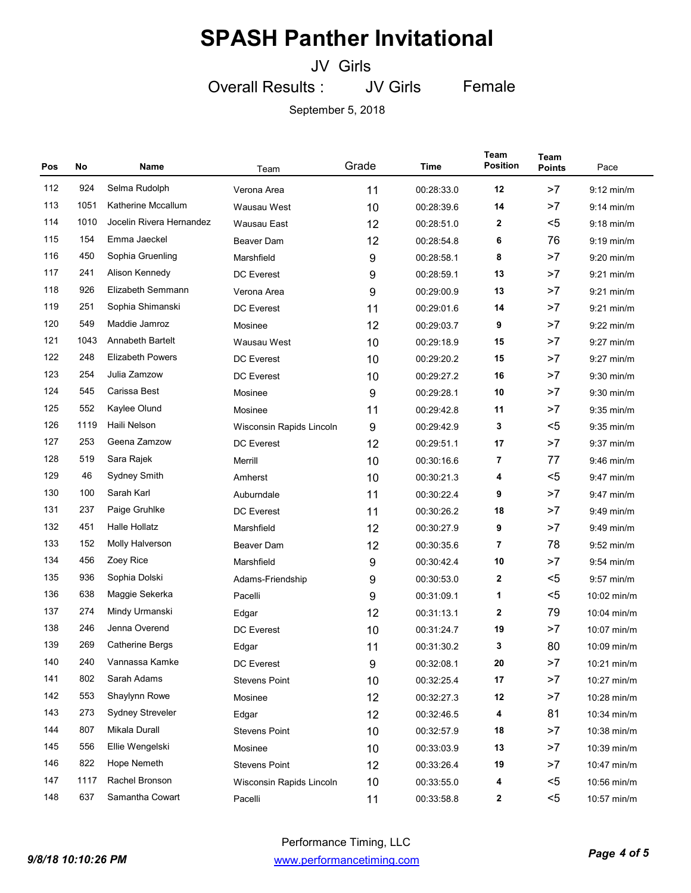JV Girls

Female

Overall Results : JV Girls

| Pos | No   | Name                     | Team                     | Grade            | Time       | Team<br><b>Position</b> | <b>Team</b><br><b>Points</b> | Pace         |
|-----|------|--------------------------|--------------------------|------------------|------------|-------------------------|------------------------------|--------------|
| 112 | 924  | Selma Rudolph            | Verona Area              | 11               | 00:28:33.0 | 12                      | >7                           | $9:12$ min/m |
| 113 | 1051 | Katherine Mccallum       | Wausau West              | 10               | 00:28:39.6 | 14                      | >7                           | $9:14$ min/m |
| 114 | 1010 | Jocelin Rivera Hernandez | Wausau East              | 12               | 00:28:51.0 | $\mathbf{2}$            | $5$                          | $9:18$ min/m |
| 115 | 154  | Emma Jaeckel             | Beaver Dam               | 12               | 00:28:54.8 | 6                       | 76                           | $9:19$ min/m |
| 116 | 450  | Sophia Gruenling         | Marshfield               | 9                | 00:28:58.1 | 8                       | >7                           | $9:20$ min/m |
| 117 | 241  | Alison Kennedy           | <b>DC</b> Everest        | 9                | 00:28:59.1 | 13                      | >7                           | $9:21$ min/m |
| 118 | 926  | Elizabeth Semmann        | Verona Area              | 9                | 00:29:00.9 | 13                      | >7                           | $9:21$ min/m |
| 119 | 251  | Sophia Shimanski         | <b>DC</b> Everest        | 11               | 00:29:01.6 | 14                      | >7                           | $9:21$ min/m |
| 120 | 549  | Maddie Jamroz            | Mosinee                  | 12               | 00:29:03.7 | 9                       | >7                           | $9:22$ min/m |
| 121 | 1043 | <b>Annabeth Bartelt</b>  | Wausau West              | 10               | 00:29:18.9 | 15                      | >7                           | $9:27$ min/m |
| 122 | 248  | <b>Elizabeth Powers</b>  | <b>DC</b> Everest        | 10               | 00:29:20.2 | 15                      | >7                           | $9:27$ min/m |
| 123 | 254  | Julia Zamzow             | <b>DC</b> Everest        | 10               | 00:29:27.2 | 16                      | >7                           | $9:30$ min/m |
| 124 | 545  | Carissa Best             | Mosinee                  | $\boldsymbol{9}$ | 00:29:28.1 | 10                      | >7                           | $9:30$ min/m |
| 125 | 552  | Kaylee Olund             | Mosinee                  | 11               | 00:29:42.8 | 11                      | >7                           | $9:35$ min/m |
| 126 | 1119 | Haili Nelson             | Wisconsin Rapids Lincoln | 9                | 00:29:42.9 | 3                       | $5$                          | $9:35$ min/m |
| 127 | 253  | Geena Zamzow             | <b>DC Everest</b>        | 12               | 00:29:51.1 | 17                      | >7                           | $9:37$ min/m |
| 128 | 519  | Sara Rajek               | Merrill                  | 10               | 00:30:16.6 | 7                       | 77                           | $9:46$ min/m |
| 129 | 46   | Sydney Smith             | Amherst                  | 10               | 00:30:21.3 | 4                       | $5$                          | $9:47$ min/m |
| 130 | 100  | Sarah Karl               | Auburndale               | 11               | 00:30:22.4 | 9                       | >7                           | $9:47$ min/m |
| 131 | 237  | Paige Gruhlke            | <b>DC</b> Everest        | 11               | 00:30:26.2 | 18                      | >7                           | $9:49$ min/m |
| 132 | 451  | <b>Halle Hollatz</b>     | Marshfield               | 12               | 00:30:27.9 | 9                       | >7                           | $9:49$ min/m |
| 133 | 152  | Molly Halverson          | Beaver Dam               | 12               | 00:30:35.6 | 7                       | 78                           | $9:52$ min/m |
| 134 | 456  | Zoey Rice                | Marshfield               | 9                | 00:30:42.4 | 10                      | >7                           | $9:54$ min/m |
| 135 | 936  | Sophia Dolski            | Adams-Friendship         | 9                | 00:30:53.0 | 2                       | $5$                          | $9:57$ min/m |
| 136 | 638  | Maggie Sekerka           | Pacelli                  | 9                | 00:31:09.1 | 1                       | $5$                          | 10:02 min/m  |
| 137 | 274  | Mindy Urmanski           | Edgar                    | 12               | 00:31:13.1 | 2                       | 79                           | 10:04 min/m  |
| 138 | 246  | Jenna Overend            | <b>DC</b> Everest        | 10               | 00:31:24.7 | 19                      | >7                           | 10:07 min/m  |
| 139 | 269  | <b>Catherine Bergs</b>   | Edgar                    | 11               | 00:31:30.2 | 3                       | 80                           | 10:09 min/m  |
| 140 | 240  | Vannassa Kamke           | DC Everest               | $\boldsymbol{9}$ | 00:32:08.1 | 20                      | >7                           | 10:21 min/m  |
| 141 | 802  | Sarah Adams              | <b>Stevens Point</b>     | 10               | 00:32:25.4 | 17                      | >7                           | 10:27 min/m  |
| 142 | 553  | Shaylynn Rowe            | Mosinee                  | 12               | 00:32:27.3 | 12                      | >7                           | 10:28 min/m  |
| 143 | 273  | Sydney Streveler         | Edgar                    | 12               | 00:32:46.5 | 4                       | 81                           | 10:34 min/m  |
| 144 | 807  | Mikala Durall            | <b>Stevens Point</b>     | 10               | 00:32:57.9 | 18                      | >7                           | 10:38 min/m  |
| 145 | 556  | Ellie Wengelski          | Mosinee                  | 10               | 00:33:03.9 | 13                      | >7                           | 10:39 min/m  |
| 146 | 822  | Hope Nemeth              | <b>Stevens Point</b>     | 12               | 00:33:26.4 | 19                      | >7                           | 10:47 min/m  |
| 147 | 1117 | Rachel Bronson           | Wisconsin Rapids Lincoln | 10               | 00:33:55.0 | 4                       | $5$                          | 10:56 min/m  |
| 148 | 637  | Samantha Cowart          | Pacelli                  | 11               | 00:33:58.8 | $\mathbf{2}$            | $5$                          | 10:57 min/m  |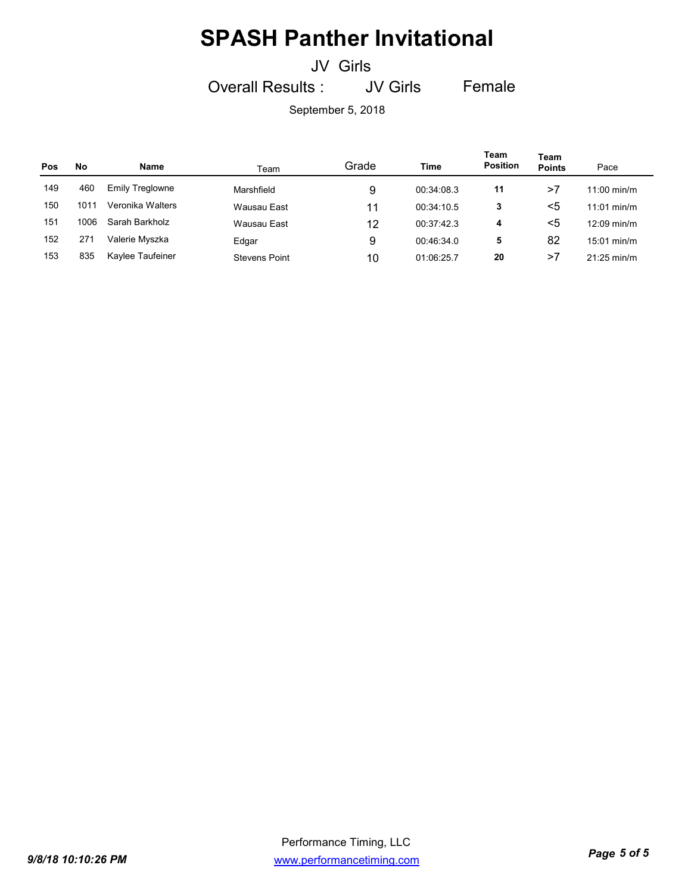JV Girls

Overall Results : JV Girls Female

| Pos | No   | Name                   | Team                 | Grade | Time       | Team<br><b>Position</b> | Team<br><b>Points</b> | Pace                  |
|-----|------|------------------------|----------------------|-------|------------|-------------------------|-----------------------|-----------------------|
| 149 | 460  | <b>Emily Treglowne</b> | Marshfield           | 9     | 00:34:08.3 | 11                      | >7                    | $11:00 \text{ min/m}$ |
| 150 | 1011 | Veronika Walters       | Wausau East          | 11    | 00:34:10.5 | 3                       | <5                    | $11:01$ min/m         |
| 151 | 1006 | Sarah Barkholz         | Wausau East          | 12    | 00:37:42.3 | 4                       | <5                    | $12:09$ min/m         |
| 152 | 271  | Valerie Myszka         | Edgar                | 9     | 00:46:34.0 | 5                       | 82                    | $15:01$ min/m         |
| 153 | 835  | Kaylee Taufeiner       | <b>Stevens Point</b> | 10    | 01:06:25.7 | 20                      | >7                    | $21:25 \text{ min/m}$ |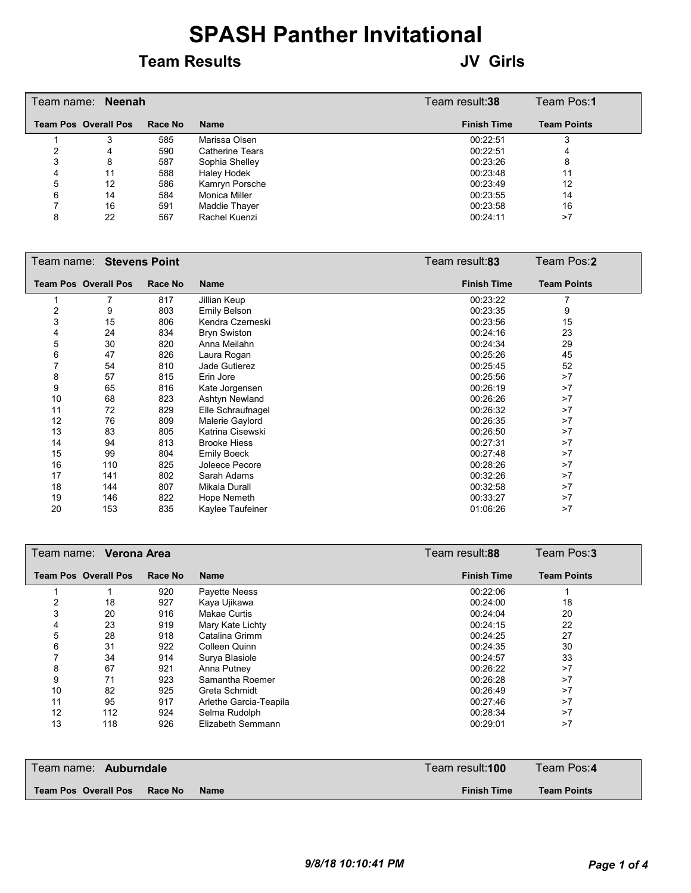#### **Team Results JV Girls**

|   | Team name: Neenah           |         |                        | Team result:38     | Team Pos:1         |
|---|-----------------------------|---------|------------------------|--------------------|--------------------|
|   | <b>Team Pos Overall Pos</b> | Race No | Name                   | <b>Finish Time</b> | <b>Team Points</b> |
|   |                             | 585     | Marissa Olsen          | 00:22:51           |                    |
|   | 4                           | 590     | <b>Catherine Tears</b> | 00:22:51           |                    |
|   | 8                           | 587     | Sophia Shelley         | 00:23:26           | 8                  |
|   | 11                          | 588     | Haley Hodek            | 00:23:48           | 11                 |
| 5 | 12                          | 586     | Kamryn Porsche         | 00:23:49           | 12                 |
| 6 | 14                          | 584     | Monica Miller          | 00:23:55           | 14                 |
|   | 16                          | 591     | Maddie Thayer          | 00:23:58           | 16                 |
|   | 22                          | 567     | Rachel Kuenzi          | 00:24:11           | >7                 |

|    | Team name: Stevens Point    |         |                     | Team result:83     | Team Pos:2         |
|----|-----------------------------|---------|---------------------|--------------------|--------------------|
|    | <b>Team Pos Overall Pos</b> | Race No | Name                | <b>Finish Time</b> | <b>Team Points</b> |
|    | 7                           | 817     | Jillian Keup        | 00:23:22           |                    |
| 2  | 9                           | 803     | Emily Belson        | 00:23:35           | 9                  |
| 3  | 15                          | 806     | Kendra Czerneski    | 00:23:56           | 15                 |
| 4  | 24                          | 834     | <b>Bryn Swiston</b> | 00:24:16           | 23                 |
| 5  | 30                          | 820     | Anna Meilahn        | 00:24:34           | 29                 |
| 6  | 47                          | 826     | Laura Rogan         | 00:25:26           | 45                 |
|    | 54                          | 810     | Jade Gutierez       | 00:25:45           | 52                 |
| 8  | 57                          | 815     | Erin Jore           | 00:25:56           | >7                 |
| 9  | 65                          | 816     | Kate Jorgensen      | 00:26:19           | >7                 |
| 10 | 68                          | 823     | Ashtyn Newland      | 00:26:26           | >7                 |
| 11 | 72                          | 829     | Elle Schraufnagel   | 00:26:32           | >7                 |
| 12 | 76                          | 809     | Malerie Gaylord     | 00:26:35           | >7                 |
| 13 | 83                          | 805     | Katrina Cisewski    | 00:26:50           | >7                 |
| 14 | 94                          | 813     | <b>Brooke Hiess</b> | 00:27:31           | >7                 |
| 15 | 99                          | 804     | <b>Emily Boeck</b>  | 00:27:48           | >7                 |
| 16 | 110                         | 825     | Joleece Pecore      | 00:28:26           | >7                 |
| 17 | 141                         | 802     | Sarah Adams         | 00:32:26           | >7                 |
| 18 | 144                         | 807     | Mikala Durall       | 00:32:58           | >7                 |
| 19 | 146                         | 822     | Hope Nemeth         | 00:33:27           | >7                 |
| 20 | 153                         | 835     | Kaylee Taufeiner    | 01:06:26           | >7                 |

|    | Team name: Verona Area      |         |                        | Team result:88     | Team Pos:3         |
|----|-----------------------------|---------|------------------------|--------------------|--------------------|
|    | <b>Team Pos Overall Pos</b> | Race No | <b>Name</b>            | <b>Finish Time</b> | <b>Team Points</b> |
|    |                             | 920     | Payette Neess          | 00:22:06           |                    |
|    | 18                          | 927     | Kaya Ujikawa           | 00:24:00           | 18                 |
| 3  | 20                          | 916     | Makae Curtis           | 00:24:04           | 20                 |
|    | 23                          | 919     | Mary Kate Lichty       | 00:24:15           | 22                 |
| 5  | 28                          | 918     | Catalina Grimm         | 00:24:25           | 27                 |
| 6  | 31                          | 922     | Colleen Quinn          | 00:24:35           | 30                 |
|    | 34                          | 914     | Surya Blasiole         | 00:24:57           | 33                 |
| 8  | 67                          | 921     | Anna Putney            | 00:26:22           | >7                 |
| 9  | 71                          | 923     | Samantha Roemer        | 00:26:28           | >7                 |
| 10 | 82                          | 925     | Greta Schmidt          | 00:26:49           | >7                 |
| 11 | 95                          | 917     | Arlethe Garcia-Teapila | 00:27:46           | >7                 |
| 12 | 112                         | 924     | Selma Rudolph          | 00:28:34           | >7                 |
| 13 | 118                         | 926     | Elizabeth Semmann      | 00:29:01           | >7                 |

| Team name: Auburndale<br>Race No<br><b>Name</b> | Team result: <b>100</b> | Team Pos:4         |
|-------------------------------------------------|-------------------------|--------------------|
| Team Pos Overall Pos                            | <b>Finish Time</b>      | <b>Team Points</b> |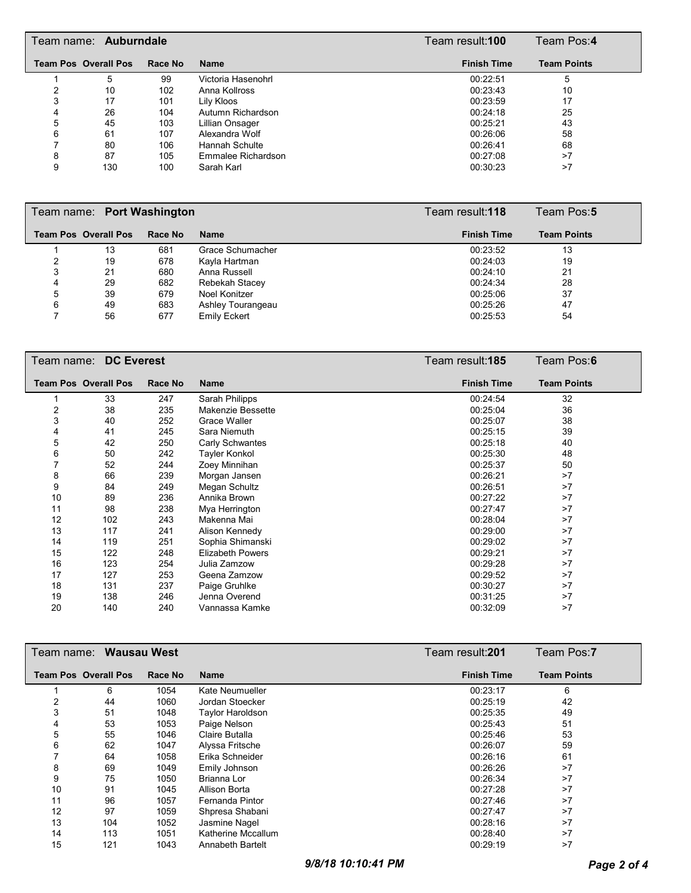| Team name: Auburndale |                             |         |                    | Team result: <b>100</b> | Team Pos: <b>4</b> |
|-----------------------|-----------------------------|---------|--------------------|-------------------------|--------------------|
|                       | <b>Team Pos Overall Pos</b> | Race No | <b>Name</b>        | <b>Finish Time</b>      | <b>Team Points</b> |
|                       | 5                           | 99      | Victoria Hasenohrl | 00:22:51                | 5                  |
|                       | 10                          | 102     | Anna Kollross      | 00:23:43                | 10                 |
| 3                     | 17                          | 101     | Lily Kloos         | 00:23:59                | 17                 |
|                       | 26                          | 104     | Autumn Richardson  | 00:24:18                | 25                 |
| 5                     | 45                          | 103     | Lillian Onsager    | 00:25:21                | 43                 |
| 6                     | 61                          | 107     | Alexandra Wolf     | 00:26:06                | 58                 |
|                       | 80                          | 106     | Hannah Schulte     | 00:26:41                | 68                 |
| 8                     | 87                          | 105     | Emmalee Richardson | 00:27:08                | >7                 |
| 9                     | 130                         | 100     | Sarah Karl         | 00:30:23                | >7                 |

|   | Team name: Port Washington  |         |                     |  | Team result:118    | Team Pos:5         |
|---|-----------------------------|---------|---------------------|--|--------------------|--------------------|
|   | <b>Team Pos Overall Pos</b> | Race No | <b>Name</b>         |  | <b>Finish Time</b> | <b>Team Points</b> |
|   | 13                          | 681     | Grace Schumacher    |  | 00:23:52           | 13                 |
|   | 19                          | 678     | Kayla Hartman       |  | 00:24:03           | 19                 |
| 3 | 21                          | 680     | Anna Russell        |  | 00:24:10           | 21                 |
| 4 | 29                          | 682     | Rebekah Stacey      |  | 00:24:34           | 28                 |
| 5 | 39                          | 679     | Noel Konitzer       |  | 00:25:06           | 37                 |
| 6 | 49                          | 683     | Ashley Tourangeau   |  | 00:25:26           | 47                 |
|   | 56                          | 677     | <b>Emily Eckert</b> |  | 00:25:53           | 54                 |

|    | Team Pos:6<br>Team name: DC Everest<br>Team result:185 |         |                         |                    |                    |  |
|----|--------------------------------------------------------|---------|-------------------------|--------------------|--------------------|--|
|    | <b>Team Pos Overall Pos</b>                            | Race No | <b>Name</b>             | <b>Finish Time</b> | <b>Team Points</b> |  |
|    | 33                                                     | 247     | Sarah Philipps          | 00:24:54           | 32                 |  |
| 2  | 38                                                     | 235     | Makenzie Bessette       | 00:25:04           | 36                 |  |
| 3  | 40                                                     | 252     | Grace Waller            | 00:25:07           | 38                 |  |
| 4  | 41                                                     | 245     | Sara Niemuth            | 00:25:15           | 39                 |  |
| 5  | 42                                                     | 250     | Carly Schwantes         | 00:25:18           | 40                 |  |
| 6  | 50                                                     | 242     | Tayler Konkol           | 00:25:30           | 48                 |  |
|    | 52                                                     | 244     | Zoey Minnihan           | 00:25:37           | 50                 |  |
| 8  | 66                                                     | 239     | Morgan Jansen           | 00:26:21           | >7                 |  |
| 9  | 84                                                     | 249     | Megan Schultz           | 00:26:51           | >7                 |  |
| 10 | 89                                                     | 236     | Annika Brown            | 00:27:22           | >7                 |  |
| 11 | 98                                                     | 238     | Mya Herrington          | 00:27:47           | >7                 |  |
| 12 | 102                                                    | 243     | Makenna Mai             | 00:28:04           | >7                 |  |
| 13 | 117                                                    | 241     | Alison Kennedy          | 00:29:00           | >7                 |  |
| 14 | 119                                                    | 251     | Sophia Shimanski        | 00:29:02           | >7                 |  |
| 15 | 122                                                    | 248     | <b>Elizabeth Powers</b> | 00:29:21           | >7                 |  |
| 16 | 123                                                    | 254     | Julia Zamzow            | 00:29:28           | >7                 |  |
| 17 | 127                                                    | 253     | Geena Zamzow            | 00:29:52           | >7                 |  |
| 18 | 131                                                    | 237     | Paige Gruhlke           | 00:30:27           | >7                 |  |
| 19 | 138                                                    | 246     | Jenna Overend           | 00:31:25           | >7                 |  |
| 20 | 140                                                    | 240     | Vannassa Kamke          | 00:32:09           | >7                 |  |

| Wausau West<br>Team name: |                             |         |                    | Team result: <b>201</b> |                    | Team Pos:7         |
|---------------------------|-----------------------------|---------|--------------------|-------------------------|--------------------|--------------------|
|                           | <b>Team Pos Overall Pos</b> | Race No | <b>Name</b>        |                         | <b>Finish Time</b> | <b>Team Points</b> |
|                           | 6                           | 1054    | Kate Neumueller    |                         | 00:23:17           | 6                  |
| 2                         | 44                          | 1060    | Jordan Stoecker    |                         | 00:25:19           | 42                 |
| 3                         | 51                          | 1048    | Taylor Haroldson   |                         | 00:25:35           | 49                 |
| 4                         | 53                          | 1053    | Paige Nelson       |                         | 00:25:43           | 51                 |
| 5                         | 55                          | 1046    | Claire Butalla     |                         | 00:25:46           | 53                 |
| 6                         | 62                          | 1047    | Alyssa Fritsche    |                         | 00:26:07           | 59                 |
|                           | 64                          | 1058    | Erika Schneider    |                         | 00:26:16           | 61                 |
| 8                         | 69                          | 1049    | Emily Johnson      |                         | 00:26:26           | >7                 |
| 9                         | 75                          | 1050    | Brianna Lor        |                         | 00:26:34           | >7                 |
| 10                        | 91                          | 1045    | Allison Borta      |                         | 00:27:28           | >7                 |
| 11                        | 96                          | 1057    | Fernanda Pintor    |                         | 00:27:46           | >7                 |
| 12                        | 97                          | 1059    | Shpresa Shabani    |                         | 00:27:47           | >7                 |
| 13                        | 104                         | 1052    | Jasmine Nagel      |                         | 00:28:16           | >7                 |
| 14                        | 113                         | 1051    | Katherine Mccallum |                         | 00:28:40           | >7                 |
| 15                        | 121                         | 1043    | Annabeth Bartelt   |                         | 00:29:19           | >7                 |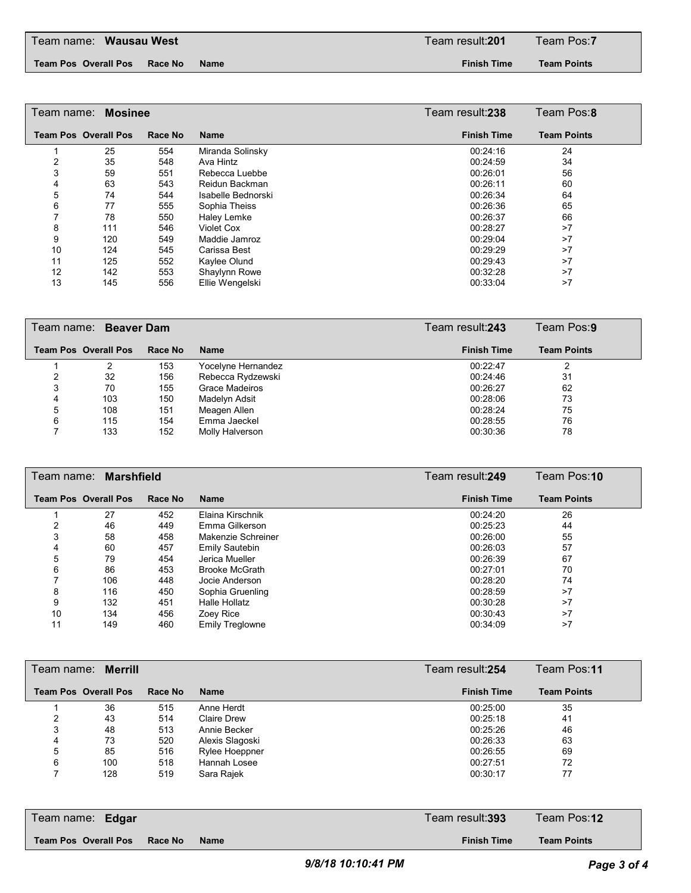#### **Team Pos Overall Pos Race No Name Finish Time**

**Team Points**

| Team name: Mosinee | Team Pos:8                  |                |                    |                    |                    |
|--------------------|-----------------------------|----------------|--------------------|--------------------|--------------------|
|                    | <b>Team Pos Overall Pos</b> | <b>Race No</b> | Name               | <b>Finish Time</b> | <b>Team Points</b> |
|                    | 25                          | 554            | Miranda Solinsky   | 00:24:16           | 24                 |
| 2                  | 35                          | 548            | Ava Hintz          | 00:24:59           | 34                 |
| 3                  | 59                          | 551            | Rebecca Luebbe     | 00:26:01           | 56                 |
| 4                  | 63                          | 543            | Reidun Backman     | 00:26:11           | 60                 |
| 5                  | 74                          | 544            | Isabelle Bednorski | 00:26:34           | 64                 |
| 6                  | 77                          | 555            | Sophia Theiss      | 00:26:36           | 65                 |
|                    | 78                          | 550            | Haley Lemke        | 00:26:37           | 66                 |
| 8                  | 111                         | 546            | Violet Cox         | 00:28:27           | >7                 |
| 9                  | 120                         | 549            | Maddie Jamroz      | 00:29:04           | >7                 |
| 10                 | 124                         | 545            | Carissa Best       | 00:29:29           | >7                 |
| 11                 | 125                         | 552            | Kaylee Olund       | 00:29:43           | >7                 |
| 12                 | 142                         | 553            | Shaylynn Rowe      | 00:32:28           | >7                 |
| 13                 | 145                         | 556            | Ellie Wengelski    | 00:33:04           | >7                 |

|   | Team name: Beaver Dam       |         | Team result: 243      | Team Pos:9         |                    |
|---|-----------------------------|---------|-----------------------|--------------------|--------------------|
|   | <b>Team Pos Overall Pos</b> | Race No | <b>Name</b>           | <b>Finish Time</b> | <b>Team Points</b> |
|   |                             | 153     | Yocelyne Hernandez    | 00:22:47           |                    |
|   | 32                          | 156     | Rebecca Rydzewski     | 00:24:46           | 31                 |
| 3 | 70                          | 155     | <b>Grace Madeiros</b> | 00:26:27           | 62                 |
| 4 | 103                         | 150     | Madelyn Adsit         | 00:28:06           | 73                 |
| 5 | 108                         | 151     | Meagen Allen          | 00:28:24           | 75                 |
| 6 | 115                         | 154     | Emma Jaeckel          | 00:28:55           | 76                 |
|   | 133                         | 152     | Molly Halverson       | 00:30:36           | 78                 |

|    | Team name: Marshfield       |         | Team result:249        | Team Pos:10        |                    |
|----|-----------------------------|---------|------------------------|--------------------|--------------------|
|    | <b>Team Pos Overall Pos</b> | Race No | <b>Name</b>            | <b>Finish Time</b> | <b>Team Points</b> |
|    | 27                          | 452     | Elaina Kirschnik       | 00:24:20           | 26                 |
|    | 46                          | 449     | Emma Gilkerson         | 00:25:23           | 44                 |
| 3  | 58                          | 458     | Makenzie Schreiner     | 00:26:00           | 55                 |
| 4  | 60                          | 457     | <b>Emily Sautebin</b>  | 00:26:03           | 57                 |
| 5  | 79                          | 454     | Jerica Mueller         | 00:26:39           | 67                 |
| 6  | 86                          | 453     | <b>Brooke McGrath</b>  | 00:27:01           | 70                 |
|    | 106                         | 448     | Jocie Anderson         | 00:28:20           | 74                 |
| 8  | 116                         | 450     | Sophia Gruenling       | 00:28:59           | >7                 |
| 9  | 132                         | 451     | Halle Hollatz          | 00:30:28           | >7                 |
| 10 | 134                         | 456     | Zoey Rice              | 00:30:43           | >7                 |
| 11 | 149                         | 460     | <b>Emily Treglowne</b> | 00:34:09           | >7                 |

|   | Team name: Merrill          |         |                    |  |                    | Team Pos:11        |
|---|-----------------------------|---------|--------------------|--|--------------------|--------------------|
|   | <b>Team Pos Overall Pos</b> | Race No | <b>Name</b>        |  | <b>Finish Time</b> | <b>Team Points</b> |
|   | 36                          | 515     | Anne Herdt         |  | 00:25:00           | 35                 |
| 2 | 43                          | 514     | <b>Claire Drew</b> |  | 00:25:18           | 41                 |
| 3 | 48                          | 513     | Annie Becker       |  | 00:25:26           | 46                 |
| 4 | 73                          | 520     | Alexis Slagoski    |  | 00:26:33           | 63                 |
| 5 | 85                          | 516     | Rylee Hoeppner     |  | 00:26:55           | 69                 |
| 6 | 100                         | 518     | Hannah Losee       |  | 00:27:51           | 72                 |
|   | 128                         | 519     | Sara Rajek         |  | 00:30:17           | 77                 |

| Team name: Edgar                |      | Team result: <b>393</b> | Team Pos:12        |
|---------------------------------|------|-------------------------|--------------------|
| Team Pos Overall Pos<br>Race No | Name | <b>Finish Time</b>      | <b>Team Points</b> |